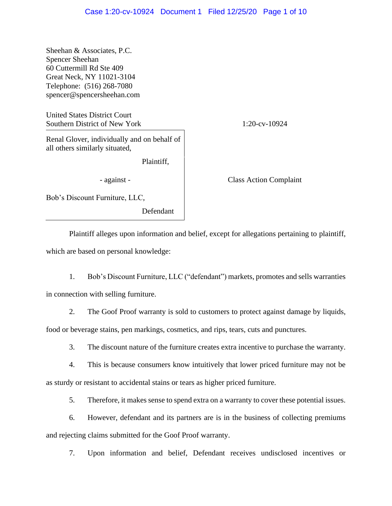Sheehan & Associates, P.C. Spencer Sheehan 60 Cuttermill Rd Ste 409 Great Neck, NY 11021-3104 Telephone: (516) 268-7080 spencer@spencersheehan.com

United States District Court Southern District of New York 1:20-cv-10924

Renal Glover, individually and on behalf of all others similarly situated,

Plaintiff,

- against - Class Action Complaint

Bob's Discount Furniture, LLC,

Defendant

Plaintiff alleges upon information and belief, except for allegations pertaining to plaintiff, which are based on personal knowledge:

1. Bob's Discount Furniture, LLC ("defendant") markets, promotes and sells warranties in connection with selling furniture.

2. The Goof Proof warranty is sold to customers to protect against damage by liquids,

food or beverage stains, pen markings, cosmetics, and rips, tears, cuts and punctures.

3. The discount nature of the furniture creates extra incentive to purchase the warranty.

4. This is because consumers know intuitively that lower priced furniture may not be as sturdy or resistant to accidental stains or tears as higher priced furniture.

5. Therefore, it makes sense to spend extra on a warranty to cover these potential issues.

6. However, defendant and its partners are is in the business of collecting premiums and rejecting claims submitted for the Goof Proof warranty.

7. Upon information and belief, Defendant receives undisclosed incentives or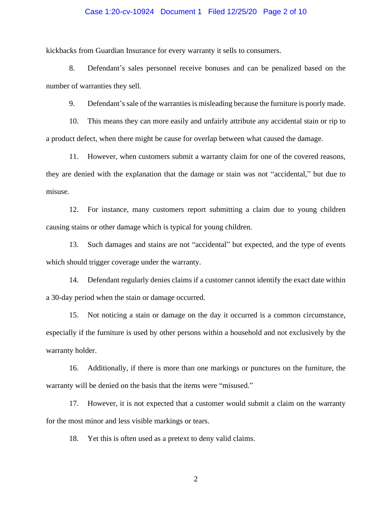## Case 1:20-cv-10924 Document 1 Filed 12/25/20 Page 2 of 10

kickbacks from Guardian Insurance for every warranty it sells to consumers.

8. Defendant's sales personnel receive bonuses and can be penalized based on the number of warranties they sell.

9. Defendant's sale of the warranties is misleading because the furniture is poorly made.

10. This means they can more easily and unfairly attribute any accidental stain or rip to a product defect, when there might be cause for overlap between what caused the damage.

11. However, when customers submit a warranty claim for one of the covered reasons, they are denied with the explanation that the damage or stain was not "accidental," but due to misuse.

12. For instance, many customers report submitting a claim due to young children causing stains or other damage which is typical for young children.

13. Such damages and stains are not "accidental" but expected, and the type of events which should trigger coverage under the warranty.

14. Defendant regularly denies claims if a customer cannot identify the exact date within a 30-day period when the stain or damage occurred.

15. Not noticing a stain or damage on the day it occurred is a common circumstance, especially if the furniture is used by other persons within a household and not exclusively by the warranty holder.

16. Additionally, if there is more than one markings or punctures on the furniture, the warranty will be denied on the basis that the items were "misused."

17. However, it is not expected that a customer would submit a claim on the warranty for the most minor and less visible markings or tears.

18. Yet this is often used as a pretext to deny valid claims.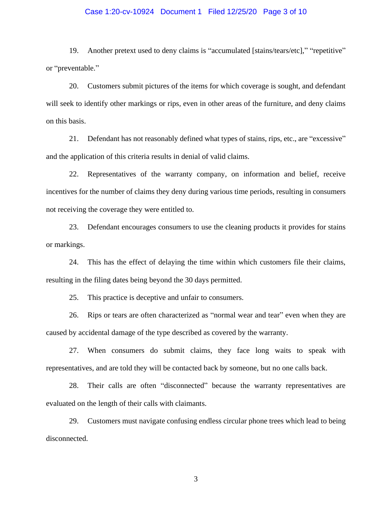## Case 1:20-cv-10924 Document 1 Filed 12/25/20 Page 3 of 10

19. Another pretext used to deny claims is "accumulated [stains/tears/etc]," "repetitive" or "preventable."

20. Customers submit pictures of the items for which coverage is sought, and defendant will seek to identify other markings or rips, even in other areas of the furniture, and deny claims on this basis.

21. Defendant has not reasonably defined what types of stains, rips, etc., are "excessive" and the application of this criteria results in denial of valid claims.

22. Representatives of the warranty company, on information and belief, receive incentives for the number of claims they deny during various time periods, resulting in consumers not receiving the coverage they were entitled to.

23. Defendant encourages consumers to use the cleaning products it provides for stains or markings.

24. This has the effect of delaying the time within which customers file their claims, resulting in the filing dates being beyond the 30 days permitted.

25. This practice is deceptive and unfair to consumers.

26. Rips or tears are often characterized as "normal wear and tear" even when they are caused by accidental damage of the type described as covered by the warranty.

27. When consumers do submit claims, they face long waits to speak with representatives, and are told they will be contacted back by someone, but no one calls back.

28. Their calls are often "disconnected" because the warranty representatives are evaluated on the length of their calls with claimants.

29. Customers must navigate confusing endless circular phone trees which lead to being disconnected.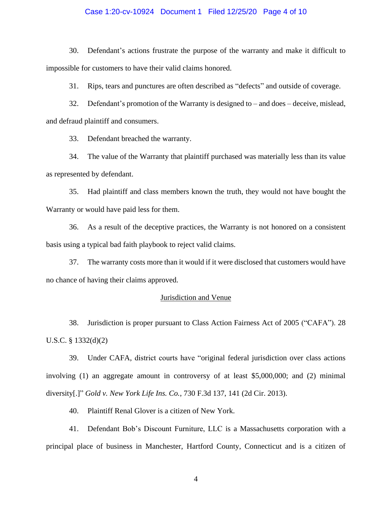## Case 1:20-cv-10924 Document 1 Filed 12/25/20 Page 4 of 10

30. Defendant's actions frustrate the purpose of the warranty and make it difficult to impossible for customers to have their valid claims honored.

31. Rips, tears and punctures are often described as "defects" and outside of coverage.

32. Defendant's promotion of the Warranty is designed to – and does – deceive, mislead, and defraud plaintiff and consumers.

33. Defendant breached the warranty.

34. The value of the Warranty that plaintiff purchased was materially less than its value as represented by defendant.

35. Had plaintiff and class members known the truth, they would not have bought the Warranty or would have paid less for them.

36. As a result of the deceptive practices, the Warranty is not honored on a consistent basis using a typical bad faith playbook to reject valid claims.

37. The warranty costs more than it would if it were disclosed that customers would have no chance of having their claims approved.

# Jurisdiction and Venue

38. Jurisdiction is proper pursuant to Class Action Fairness Act of 2005 ("CAFA"). 28 U.S.C. § 1332(d)(2)

39. Under CAFA, district courts have "original federal jurisdiction over class actions involving (1) an aggregate amount in controversy of at least \$5,000,000; and (2) minimal diversity[.]" *Gold v. New York Life Ins. Co.*, 730 F.3d 137, 141 (2d Cir. 2013).

40. Plaintiff Renal Glover is a citizen of New York.

41. Defendant Bob's Discount Furniture, LLC is a Massachusetts corporation with a principal place of business in Manchester, Hartford County, Connecticut and is a citizen of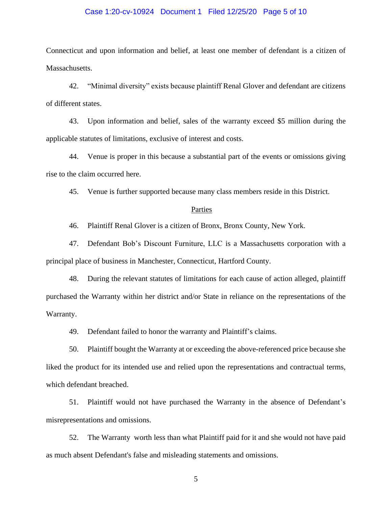## Case 1:20-cv-10924 Document 1 Filed 12/25/20 Page 5 of 10

Connecticut and upon information and belief, at least one member of defendant is a citizen of Massachusetts.

42. "Minimal diversity" exists because plaintiff Renal Glover and defendant are citizens of different states.

43. Upon information and belief, sales of the warranty exceed \$5 million during the applicable statutes of limitations, exclusive of interest and costs.

44. Venue is proper in this because a substantial part of the events or omissions giving rise to the claim occurred here.

45. Venue is further supported because many class members reside in this District.

#### Parties

46. Plaintiff Renal Glover is a citizen of Bronx, Bronx County, New York.

47. Defendant Bob's Discount Furniture, LLC is a Massachusetts corporation with a principal place of business in Manchester, Connecticut, Hartford County.

48. During the relevant statutes of limitations for each cause of action alleged, plaintiff purchased the Warranty within her district and/or State in reliance on the representations of the Warranty.

49. Defendant failed to honor the warranty and Plaintiff's claims.

50. Plaintiff bought the Warranty at or exceeding the above-referenced price because she liked the product for its intended use and relied upon the representations and contractual terms, which defendant breached.

51. Plaintiff would not have purchased the Warranty in the absence of Defendant's misrepresentations and omissions.

52. The Warranty worth less than what Plaintiff paid for it and she would not have paid as much absent Defendant's false and misleading statements and omissions.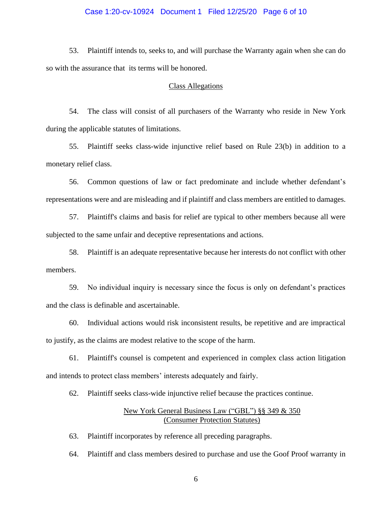## Case 1:20-cv-10924 Document 1 Filed 12/25/20 Page 6 of 10

53. Plaintiff intends to, seeks to, and will purchase the Warranty again when she can do so with the assurance that its terms will be honored.

#### Class Allegations

54. The class will consist of all purchasers of the Warranty who reside in New York during the applicable statutes of limitations.

55. Plaintiff seeks class-wide injunctive relief based on Rule 23(b) in addition to a monetary relief class.

56. Common questions of law or fact predominate and include whether defendant's representations were and are misleading and if plaintiff and class members are entitled to damages.

57. Plaintiff's claims and basis for relief are typical to other members because all were subjected to the same unfair and deceptive representations and actions.

58. Plaintiff is an adequate representative because her interests do not conflict with other members.

59. No individual inquiry is necessary since the focus is only on defendant's practices and the class is definable and ascertainable.

60. Individual actions would risk inconsistent results, be repetitive and are impractical to justify, as the claims are modest relative to the scope of the harm.

61. Plaintiff's counsel is competent and experienced in complex class action litigation and intends to protect class members' interests adequately and fairly.

62. Plaintiff seeks class-wide injunctive relief because the practices continue.

# New York General Business Law ("GBL") §§ 349 & 350 (Consumer Protection Statutes)

63. Plaintiff incorporates by reference all preceding paragraphs.

64. Plaintiff and class members desired to purchase and use the Goof Proof warranty in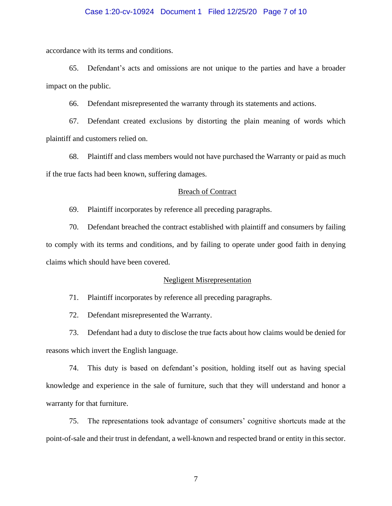### Case 1:20-cv-10924 Document 1 Filed 12/25/20 Page 7 of 10

accordance with its terms and conditions.

65. Defendant's acts and omissions are not unique to the parties and have a broader impact on the public.

66. Defendant misrepresented the warranty through its statements and actions.

67. Defendant created exclusions by distorting the plain meaning of words which plaintiff and customers relied on.

68. Plaintiff and class members would not have purchased the Warranty or paid as much if the true facts had been known, suffering damages.

## Breach of Contract

69. Plaintiff incorporates by reference all preceding paragraphs.

70. Defendant breached the contract established with plaintiff and consumers by failing to comply with its terms and conditions, and by failing to operate under good faith in denying claims which should have been covered.

#### Negligent Misrepresentation

71. Plaintiff incorporates by reference all preceding paragraphs.

72. Defendant misrepresented the Warranty.

73. Defendant had a duty to disclose the true facts about how claims would be denied for reasons which invert the English language.

74. This duty is based on defendant's position, holding itself out as having special knowledge and experience in the sale of furniture, such that they will understand and honor a warranty for that furniture.

75. The representations took advantage of consumers' cognitive shortcuts made at the point-of-sale and their trust in defendant, a well-known and respected brand or entity in this sector.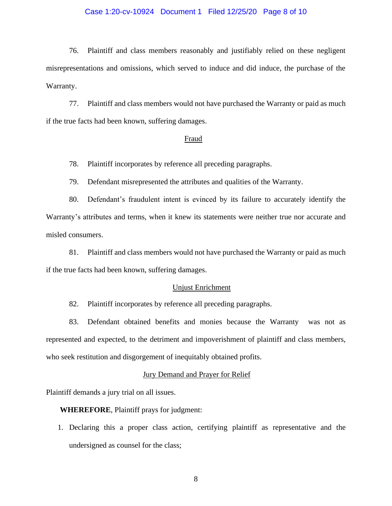## Case 1:20-cv-10924 Document 1 Filed 12/25/20 Page 8 of 10

76. Plaintiff and class members reasonably and justifiably relied on these negligent misrepresentations and omissions, which served to induce and did induce, the purchase of the Warranty.

77. Plaintiff and class members would not have purchased the Warranty or paid as much if the true facts had been known, suffering damages.

#### Fraud

78. Plaintiff incorporates by reference all preceding paragraphs.

79. Defendant misrepresented the attributes and qualities of the Warranty.

80. Defendant's fraudulent intent is evinced by its failure to accurately identify the Warranty's attributes and terms, when it knew its statements were neither true nor accurate and misled consumers.

81. Plaintiff and class members would not have purchased the Warranty or paid as much if the true facts had been known, suffering damages.

## Unjust Enrichment

82. Plaintiff incorporates by reference all preceding paragraphs.

83. Defendant obtained benefits and monies because the Warranty was not as represented and expected, to the detriment and impoverishment of plaintiff and class members, who seek restitution and disgorgement of inequitably obtained profits.

#### Jury Demand and Prayer for Relief

Plaintiff demands a jury trial on all issues.

**WHEREFORE**, Plaintiff prays for judgment:

1. Declaring this a proper class action, certifying plaintiff as representative and the undersigned as counsel for the class;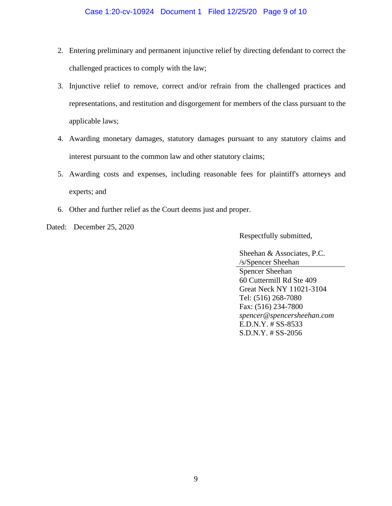- 2. Entering preliminary and permanent injunctive relief by directing defendant to correct the challenged practices to comply with the law;
- 3. Injunctive relief to remove, correct and/or refrain from the challenged practices and representations, and restitution and disgorgement for members of the class pursuant to the applicable laws;
- 4. Awarding monetary damages, statutory damages pursuant to any statutory claims and interest pursuant to the common law and other statutory claims;
- 5. Awarding costs and expenses, including reasonable fees for plaintiff's attorneys and experts; and
- 6. Other and further relief as the Court deems just and proper.
- Dated: December 25, 2020

Respectfully submitted,

Sheehan & Associates, P.C. /s/Spencer Sheehan Spencer Sheehan 60 Cuttermill Rd Ste 409 Great Neck NY 11021-3104 Tel: (516) 268-7080 Fax: (516) 234-7800 *spencer@spencersheehan.com* E.D.N.Y. # SS-8533 S.D.N.Y. # SS-2056